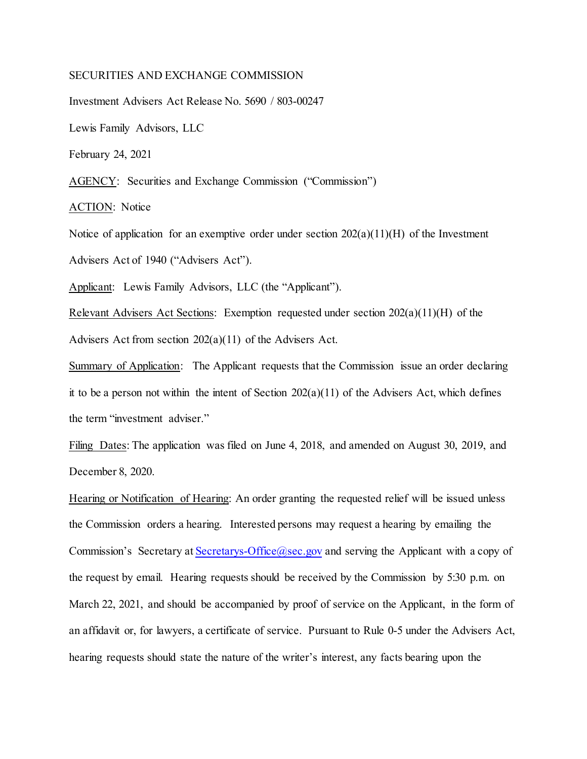## SECURITIES AND EXCHANGE COMMISSION

Investment Advisers Act Release No. 5690 / 803-00247

Lewis Family Advisors, LLC

February 24, 2021

AGENCY: Securities and Exchange Commission ("Commission")

ACTION: Notice

Notice of application for an exemptive order under section  $202(a)(11)(H)$  of the Investment Advisers Act of 1940 ("Advisers Act").

Applicant: Lewis Family Advisors, LLC (the "Applicant").

Relevant Advisers Act Sections: Exemption requested under section 202(a)(11)(H) of the Advisers Act from section 202(a)(11) of the Advisers Act.

Summary of Application: The Applicant requests that the Commission issue an order declaring it to be a person not within the intent of Section  $202(a)(11)$  of the Advisers Act, which defines the term "investment adviser."

Filing Dates: The application was filed on June 4, 2018, and amended on August 30, 2019, and December 8, 2020.

Hearing or Notification of Hearing: An order granting the requested relief will be issued unless the Commission orders a hearing. Interested persons may request a hearing by emailing the Commission's Secretary at Secretarys-Office  $(a)$  sec.gov and serving the Applicant with a copy of the request by email. Hearing requests should be received by the Commission by 5:30 p.m. on March 22, 2021, and should be accompanied by proof of service on the Applicant, in the form of an affidavit or, for lawyers, a certificate of service. Pursuant to Rule 0-5 under the Advisers Act, hearing requests should state the nature of the writer's interest, any facts bearing upon the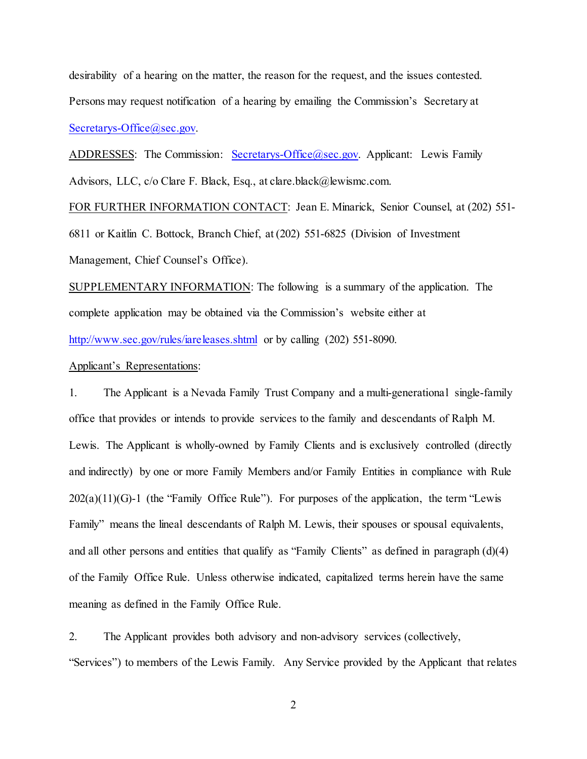desirability of a hearing on the matter, the reason for the request, and the issues contested. Persons may request notification of a hearing by emailing the Commission's Secretary at [Secretarys-Office@sec.gov.](mailto:Secretarys-Office@sec.gov)

ADDRESSES: The Commission: [Secretarys-Office@sec.gov.](mailto:Secretarys-Office@sec.gov) Applicant: Lewis Family Advisors, LLC, c/o Clare F. Black, Esq., at clare.black@lewismc.com.

FOR FURTHER INFORMATION CONTACT: Jean E. Minarick, Senior Counsel, at (202) 551-

6811 or Kaitlin C. Bottock, Branch Chief, at (202) 551-6825 (Division of Investment Management, Chief Counsel's Office).

SUPPLEMENTARY INFORMATION: The following is a summary of the application. The complete application may be obtained via the Commission's website either at <http://www.sec.gov/rules/iareleases.shtml> or by calling (202) 551-8090.

## Applicant's Representations:

1. The Applicant is a Nevada Family Trust Company and a multi-generational single-family office that provides or intends to provide services to the family and descendants of Ralph M. Lewis. The Applicant is wholly-owned by Family Clients and is exclusively controlled (directly and indirectly) by one or more Family Members and/or Family Entities in compliance with Rule  $202(a)(11)(G)-1$  (the "Family Office Rule"). For purposes of the application, the term "Lewis" Family" means the lineal descendants of Ralph M. Lewis, their spouses or spousal equivalents, and all other persons and entities that qualify as "Family Clients" as defined in paragraph (d)(4) of the Family Office Rule. Unless otherwise indicated, capitalized terms herein have the same meaning as defined in the Family Office Rule.

2. The Applicant provides both advisory and non-advisory services (collectively, "Services") to members of the Lewis Family. Any Service provided by the Applicant that relates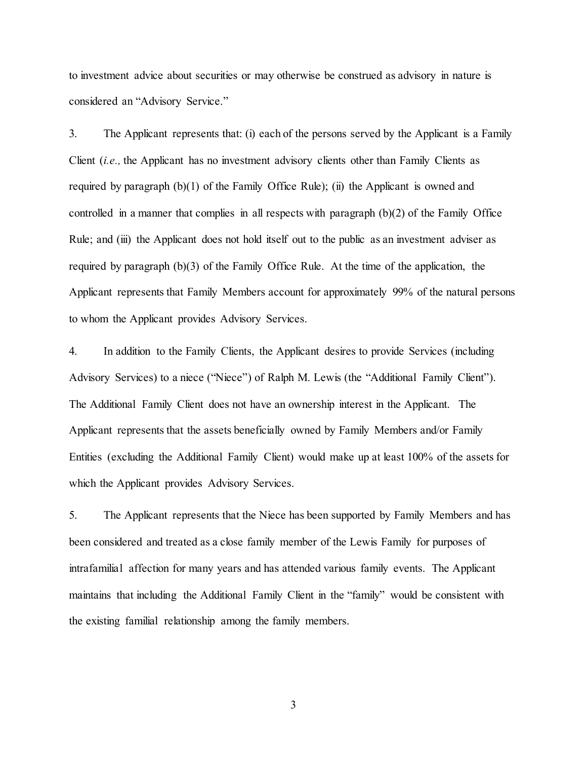to investment advice about securities or may otherwise be construed as advisory in nature is considered an "Advisory Service."

3. The Applicant represents that: (i) each of the persons served by the Applicant is a Family Client (*i.e.,* the Applicant has no investment advisory clients other than Family Clients as required by paragraph  $(b)(1)$  of the Family Office Rule); (ii) the Applicant is owned and controlled in a manner that complies in all respects with paragraph (b)(2) of the Family Office Rule; and (iii) the Applicant does not hold itself out to the public as an investment adviser as required by paragraph (b)(3) of the Family Office Rule. At the time of the application, the Applicant represents that Family Members account for approximately 99% of the natural persons to whom the Applicant provides Advisory Services.

4. In addition to the Family Clients, the Applicant desires to provide Services (including Advisory Services) to a niece ("Niece") of Ralph M. Lewis (the "Additional Family Client"). The Additional Family Client does not have an ownership interest in the Applicant. The Applicant represents that the assets beneficially owned by Family Members and/or Family Entities (excluding the Additional Family Client) would make up at least 100% of the assets for which the Applicant provides Advisory Services.

5. The Applicant represents that the Niece has been supported by Family Members and has been considered and treated as a close family member of the Lewis Family for purposes of intrafamilial affection for many years and has attended various family events. The Applicant maintains that including the Additional Family Client in the "family" would be consistent with the existing familial relationship among the family members.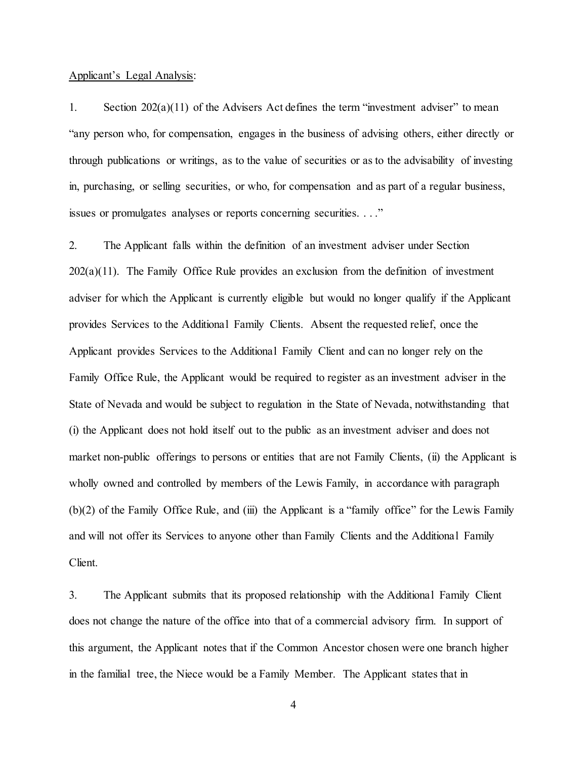## Applicant's Legal Analysis:

1. Section 202(a)(11) of the Advisers Act defines the term "investment adviser" to mean "any person who, for compensation, engages in the business of advising others, either directly or through publications or writings, as to the value of securities or as to the advisability of investing in, purchasing, or selling securities, or who, for compensation and as part of a regular business, issues or promulgates analyses or reports concerning securities. . . ."

2. The Applicant falls within the definition of an investment adviser under Section 202(a)(11). The Family Office Rule provides an exclusion from the definition of investment adviser for which the Applicant is currently eligible but would no longer qualify if the Applicant provides Services to the Additional Family Clients. Absent the requested relief, once the Applicant provides Services to the Additional Family Client and can no longer rely on the Family Office Rule, the Applicant would be required to register as an investment adviser in the State of Nevada and would be subject to regulation in the State of Nevada, notwithstanding that (i) the Applicant does not hold itself out to the public as an investment adviser and does not market non-public offerings to persons or entities that are not Family Clients, (ii) the Applicant is wholly owned and controlled by members of the Lewis Family, in accordance with paragraph (b)(2) of the Family Office Rule, and (iii) the Applicant is a "family office" for the Lewis Family and will not offer its Services to anyone other than Family Clients and the Additional Family Client.

3. The Applicant submits that its proposed relationship with the Additional Family Client does not change the nature of the office into that of a commercial advisory firm. In support of this argument, the Applicant notes that if the Common Ancestor chosen were one branch higher in the familial tree, the Niece would be a Family Member. The Applicant states that in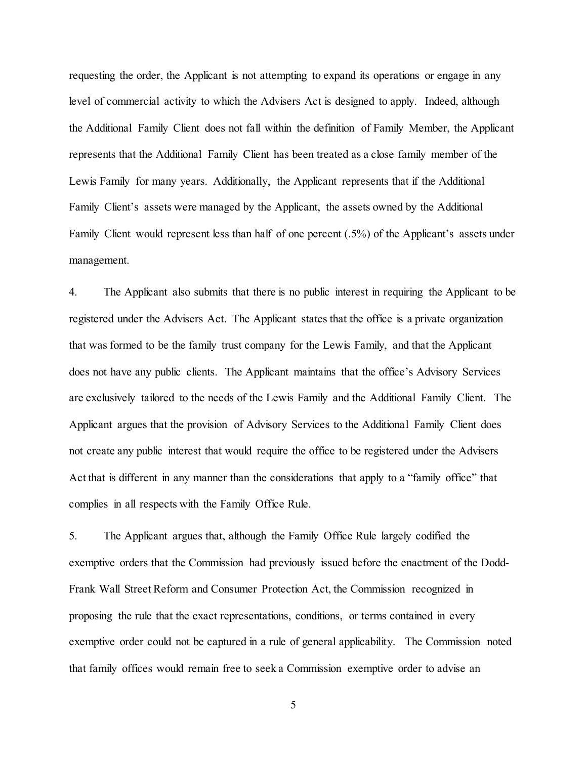requesting the order, the Applicant is not attempting to expand its operations or engage in any level of commercial activity to which the Advisers Act is designed to apply. Indeed, although the Additional Family Client does not fall within the definition of Family Member, the Applicant represents that the Additional Family Client has been treated as a close family member of the Lewis Family for many years. Additionally, the Applicant represents that if the Additional Family Client's assets were managed by the Applicant, the assets owned by the Additional Family Client would represent less than half of one percent (.5%) of the Applicant's assets under management.

4. The Applicant also submits that there is no public interest in requiring the Applicant to be registered under the Advisers Act. The Applicant states that the office is a private organization that was formed to be the family trust company for the Lewis Family, and that the Applicant does not have any public clients. The Applicant maintains that the office's Advisory Services are exclusively tailored to the needs of the Lewis Family and the Additional Family Client. The Applicant argues that the provision of Advisory Services to the Additional Family Client does not create any public interest that would require the office to be registered under the Advisers Act that is different in any manner than the considerations that apply to a "family office" that complies in all respects with the Family Office Rule.

5. The Applicant argues that, although the Family Office Rule largely codified the exemptive orders that the Commission had previously issued before the enactment of the Dodd-Frank Wall Street Reform and Consumer Protection Act, the Commission recognized in proposing the rule that the exact representations, conditions, or terms contained in every exemptive order could not be captured in a rule of general applicability. The Commission noted that family offices would remain free to seek a Commission exemptive order to advise an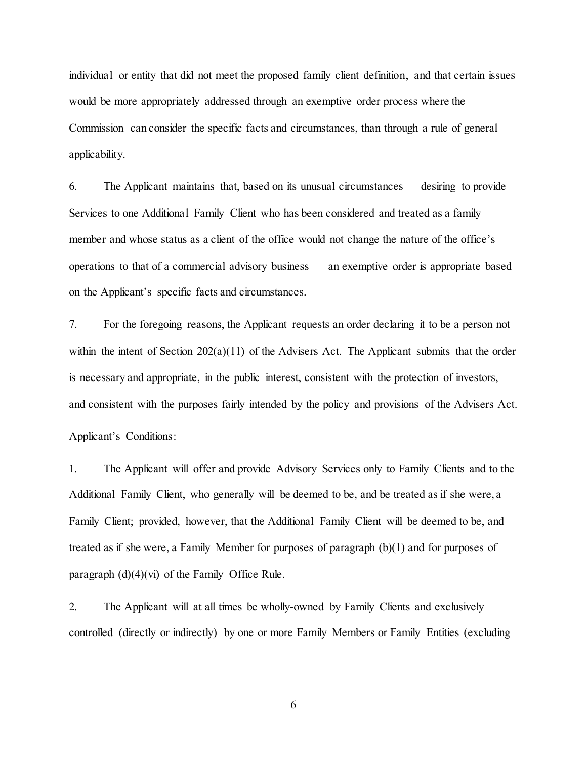individual or entity that did not meet the proposed family client definition, and that certain issues would be more appropriately addressed through an exemptive order process where the Commission can consider the specific facts and circumstances, than through a rule of general applicability.

6. The Applicant maintains that, based on its unusual circumstances — desiring to provide Services to one Additional Family Client who has been considered and treated as a family member and whose status as a client of the office would not change the nature of the office's operations to that of a commercial advisory business — an exemptive order is appropriate based on the Applicant's specific facts and circumstances.

7. For the foregoing reasons, the Applicant requests an order declaring it to be a person not within the intent of Section  $202(a)(11)$  of the Advisers Act. The Applicant submits that the order is necessary and appropriate, in the public interest, consistent with the protection of investors, and consistent with the purposes fairly intended by the policy and provisions of the Advisers Act.

## Applicant's Conditions:

1. The Applicant will offer and provide Advisory Services only to Family Clients and to the Additional Family Client, who generally will be deemed to be, and be treated as if she were, a Family Client; provided, however, that the Additional Family Client will be deemed to be, and treated as if she were, a Family Member for purposes of paragraph (b)(1) and for purposes of paragraph  $(d)(4)(vi)$  of the Family Office Rule.

2. The Applicant will at all times be wholly-owned by Family Clients and exclusively controlled (directly or indirectly) by one or more Family Members or Family Entities (excluding